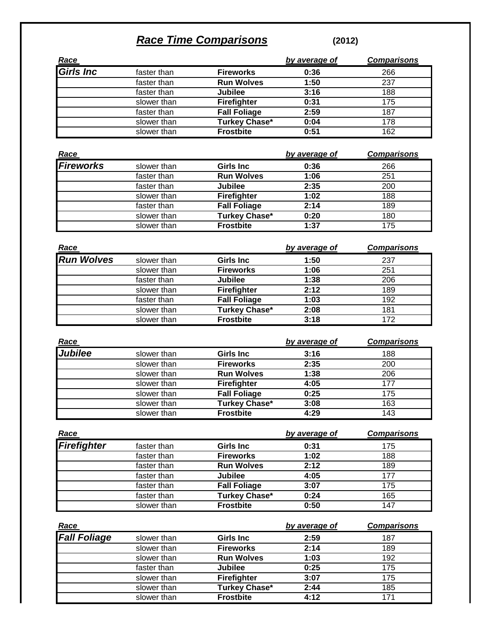## *Race Time Comparisons* **(2012)**

| <u>Race</u>      |             |                      | by average of | <b>Comparisons</b> |
|------------------|-------------|----------------------|---------------|--------------------|
| <b>Girls Inc</b> | faster than | <b>Fireworks</b>     | 0:36          | 266                |
|                  | faster than | <b>Run Wolves</b>    | 1:50          | 237                |
|                  | faster than | <b>Jubilee</b>       | 3:16          | 188                |
|                  | slower than | <b>Firefighter</b>   | 0:31          | 175                |
|                  | faster than | <b>Fall Foliage</b>  | 2:59          | 187                |
|                  | slower than | <b>Turkey Chase*</b> | 0:04          | 178                |
|                  | slower than | <b>Frostbite</b>     | 0:51          | 162                |
|                  |             |                      |               |                    |

| <u>Race</u>      |             |                      | by average of | <b>Comparisons</b> |
|------------------|-------------|----------------------|---------------|--------------------|
| <b>Fireworks</b> | slower than | <b>Girls Inc.</b>    | 0:36          | 266                |
|                  | faster than | <b>Run Wolves</b>    | 1:06          | 251                |
|                  | faster than | <b>Jubilee</b>       | 2:35          | 200                |
|                  | slower than | <b>Firefighter</b>   | 1:02          | 188                |
|                  | faster than | <b>Fall Foliage</b>  | 2:14          | 189                |
|                  | slower than | <b>Turkey Chase*</b> | 0:20          | 180                |
|                  | slower than | <b>Frostbite</b>     | 1:37          | 175                |

| <u>Race</u>       |             |                      | by average of | <b>Comparisons</b> |
|-------------------|-------------|----------------------|---------------|--------------------|
| <b>Run Wolves</b> | slower than | <b>Girls Inc</b>     | 1:50          | 237                |
|                   | slower than | <b>Fireworks</b>     | 1:06          | 251                |
|                   | faster than | <b>Jubilee</b>       | 1:38          | 206                |
|                   | slower than | <b>Firefighter</b>   | 2:12          | 189                |
|                   | faster than | <b>Fall Foliage</b>  | 1:03          | 192                |
|                   | slower than | <b>Turkey Chase*</b> | 2:08          | 181                |
|                   | slower than | <b>Frostbite</b>     | 3:18          | 172                |

| <u>Race</u>    |             |                      | by average of | <b>Comparisons</b> |
|----------------|-------------|----------------------|---------------|--------------------|
| <b>Jubilee</b> | slower than | <b>Girls Inc</b>     | 3:16          | 188                |
|                | slower than | <b>Fireworks</b>     | 2:35          | 200                |
|                | slower than | <b>Run Wolves</b>    | 1:38          | 206                |
|                | slower than | <b>Firefighter</b>   | 4:05          | 177                |
|                | slower than | <b>Fall Foliage</b>  | 0:25          | 175                |
|                | slower than | <b>Turkey Chase*</b> | 3:08          | 163                |
|                | slower than | <b>Frostbite</b>     | 4:29          | 143                |

| <u>Race</u> |             |                      | by average of | <b>Comparisons</b> |
|-------------|-------------|----------------------|---------------|--------------------|
| Firefighter | faster than | <b>Girls Inc.</b>    | 0:31          | 175                |
|             | faster than | <b>Fireworks</b>     | 1:02          | 188                |
|             | faster than | <b>Run Wolves</b>    | 2:12          | 189                |
|             | faster than | <b>Jubilee</b>       | 4:05          | 177                |
|             | faster than | <b>Fall Foliage</b>  | 3:07          | 175                |
|             | faster than | <b>Turkey Chase*</b> | 0:24          | 165                |
|             | slower than | <b>Frostbite</b>     | 0:50          | 147                |

| <u>Race</u>         |             |                      | by average of | <b>Comparisons</b> |
|---------------------|-------------|----------------------|---------------|--------------------|
| <b>Fall Foliage</b> | slower than | <b>Girls Inc.</b>    | 2:59          | 187                |
|                     | slower than | <b>Fireworks</b>     | 2:14          | 189                |
|                     | slower than | <b>Run Wolves</b>    | 1:03          | 192                |
|                     | faster than | <b>Jubilee</b>       | 0:25          | 175                |
|                     | slower than | <b>Firefighter</b>   | 3:07          | 175                |
|                     | slower than | <b>Turkey Chase*</b> | 2:44          | 185                |
|                     | slower than | <b>Frostbite</b>     | 4:12          | 171                |